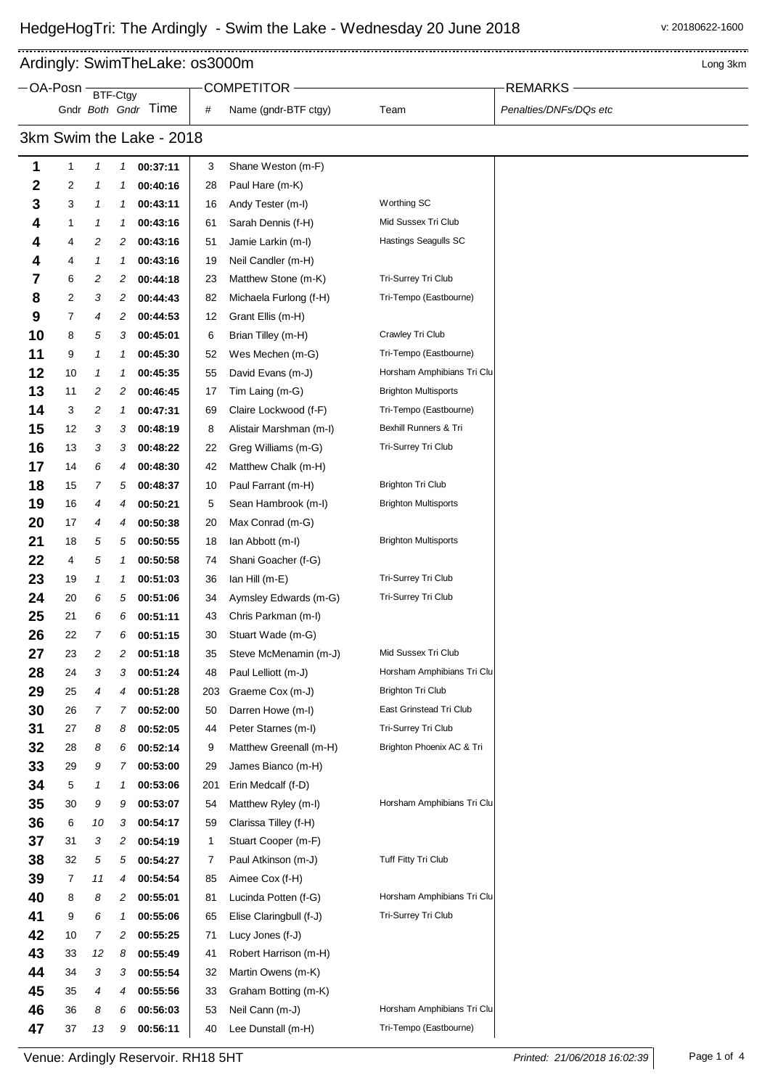--------------------

., Ardingly: SwimTheLake: os3000m and the state of the state of the state of the state of the state of the state of the state of the state of the state of the state of the state of the state of the state of the state of the s

|                          | -OA-Posn |              | BTF-Ctgy |                      |              | COMPETITOR-                               |                             | <b>REMARKS</b>         |
|--------------------------|----------|--------------|----------|----------------------|--------------|-------------------------------------------|-----------------------------|------------------------|
|                          |          |              |          | Gndr Both Gndr Time  | #            | Name (gndr-BTF ctgy)                      | Team                        | Penalties/DNFs/DQs etc |
| 3km Swim the Lake - 2018 |          |              |          |                      |              |                                           |                             |                        |
| 1                        | 1        | 1            | 1        | 00:37:11             | 3            | Shane Weston (m-F)                        |                             |                        |
| 2                        | 2        | 1            | 1        | 00:40:16             | 28           | Paul Hare (m-K)                           |                             |                        |
| 3                        | 3        | 1            | 1        | 00:43:11             | 16           | Andy Tester (m-I)                         | Worthing SC                 |                        |
| 4                        | 1        | 1            | 1        | 00:43:16             | 61           | Sarah Dennis (f-H)                        | Mid Sussex Tri Club         |                        |
| 4                        | 4        | 2            | 2        | 00:43:16             | 51           | Jamie Larkin (m-l)                        | Hastings Seagulls SC        |                        |
| 4                        | 4        | 1            | 1        | 00:43:16             | 19           | Neil Candler (m-H)                        |                             |                        |
| 7                        | 6        | 2            | 2        | 00:44:18             | 23           | Matthew Stone (m-K)                       | Tri-Surrey Tri Club         |                        |
| 8                        | 2        | 3            | 2        | 00:44:43             | 82           | Michaela Furlong (f-H)                    | Tri-Tempo (Eastbourne)      |                        |
| 9                        | 7        | 4            | 2        | 00:44:53             | 12           | Grant Ellis (m-H)                         |                             |                        |
| 10                       | 8        | 5            | 3        | 00:45:01             | 6            | Brian Tilley (m-H)                        | Crawley Tri Club            |                        |
| 11                       | 9        | 1            | 1        | 00:45:30             | 52           | Wes Mechen (m-G)                          | Tri-Tempo (Eastbourne)      |                        |
| 12                       | 10       | $\mathcal I$ | 1        | 00:45:35             | 55           | David Evans (m-J)                         | Horsham Amphibians Tri Clu  |                        |
| 13                       | 11       | 2            | 2        | 00:46:45             | 17           | Tim Laing (m-G)                           | <b>Brighton Multisports</b> |                        |
| 14                       | 3        | 2            | 1        | 00:47:31             | 69           | Claire Lockwood (f-F)                     | Tri-Tempo (Eastbourne)      |                        |
| 15                       | 12       | 3            | 3        | 00:48:19             | 8            | Alistair Marshman (m-l)                   | Bexhill Runners & Tri       |                        |
| 16                       | 13       | 3            | 3        | 00:48:22             | 22           | Greg Williams (m-G)                       | Tri-Surrey Tri Club         |                        |
| 17                       | 14       | 6            | 4        | 00:48:30             | 42           | Matthew Chalk (m-H)                       |                             |                        |
| 18                       | 15       | 7            | 5        | 00:48:37             | 10           | Paul Farrant (m-H)                        | <b>Brighton Tri Club</b>    |                        |
| 19                       | 16       | 4            | 4        | 00:50:21             | 5            | Sean Hambrook (m-I)                       | Brighton Multisports        |                        |
| 20                       | 17       | 4            | 4        | 00:50:38             | 20           | Max Conrad (m-G)                          |                             |                        |
| 21                       | 18       | 5            | 5        | 00:50:55             | 18           | lan Abbott (m-I)                          | <b>Brighton Multisports</b> |                        |
| 22                       | 4        | 5            | 1        | 00:50:58             | 74           | Shani Goacher (f-G)                       |                             |                        |
| 23                       | 19       | 1            | 1        | 00:51:03             | 36           | lan Hill (m-E)                            | Tri-Surrey Tri Club         |                        |
| 24                       | 20       | 6            | 5        | 00:51:06             | 34           | Aymsley Edwards (m-G)                     | Tri-Surrey Tri Club         |                        |
| 25                       | 21       | 6            | 6        | 00:51:11             | 43           | Chris Parkman (m-l)                       |                             |                        |
| 26                       | 22       | 7            | 6        | 00:51:15             | 30           | Stuart Wade (m-G)                         |                             |                        |
| 27                       | 23       | 2            | 2        | 00:51:18             | 35           | Steve McMenamin (m-J)                     | Mid Sussex Tri Club         |                        |
| 28                       | 24       | 3            | 3        | 00:51:24             | 48           | Paul Lelliott (m-J)                       | Horsham Amphibians Tri Clu  |                        |
| 29                       | 25       | 4            | 4        | 00:51:28             | 203          | Graeme Cox (m-J)                          | <b>Brighton Tri Club</b>    |                        |
| 30                       | 26       | 7            | 7        | 00:52:00             | 50           | Darren Howe (m-I)                         | East Grinstead Tri Club     |                        |
| 31                       | 27       | 8            | 8        | 00:52:05             | 44           | Peter Starnes (m-l)                       | Tri-Surrey Tri Club         |                        |
| 32                       | 28       | 8            | 6        | 00:52:14             | 9            | Matthew Greenall (m-H)                    | Brighton Phoenix AC & Tri   |                        |
| 33                       | 29       | 9            | 7        | 00:53:00             | 29           | James Bianco (m-H)                        |                             |                        |
| 34                       | 5        | 1            | 1        | 00:53:06             | 201          | Erin Medcalf (f-D)                        |                             |                        |
| 35                       | 30       | 9            | 9        | 00:53:07             | 54           | Matthew Ryley (m-I)                       | Horsham Amphibians Tri Clu  |                        |
| 36                       | 6        | 10           | 3        | 00:54:17             | 59           | Clarissa Tilley (f-H)                     |                             |                        |
| 37                       | 31       | 3            | 2        | 00:54:19             | $\mathbf{1}$ | Stuart Cooper (m-F)                       |                             |                        |
| 38                       | 32       | 5            | 5        | 00:54:27             | 7            | Paul Atkinson (m-J)                       | Tuff Fitty Tri Club         |                        |
| 39                       | 7        | 11           | 4        | 00:54:54             | 85           | Aimee Cox (f-H)                           | Horsham Amphibians Tri Clu  |                        |
| 40                       | 8        | 8            | 2        | 00:55:01             | 81           | Lucinda Potten (f-G)                      | Tri-Surrey Tri Club         |                        |
| 41                       | 9        | 6            | 1        | 00:55:06             | 65           | Elise Claringbull (f-J)                   |                             |                        |
| 42<br>43                 | 10<br>33 | 7<br>12      | 2<br>8   | 00:55:25<br>00:55:49 | 71<br>41     | Lucy Jones (f-J)<br>Robert Harrison (m-H) |                             |                        |
| 44                       | 34       | 3            | 3        | 00:55:54             | 32           | Martin Owens (m-K)                        |                             |                        |
| 45                       | 35       | 4            | 4        | 00:55:56             | 33           | Graham Botting (m-K)                      |                             |                        |
| 46                       | 36       | 8            | 6        | 00:56:03             | 53           | Neil Cann (m-J)                           | Horsham Amphibians Tri Clu  |                        |
| 47                       | 37       | 13           | 9        | 00:56:11             | 40           | Lee Dunstall (m-H)                        | Tri-Tempo (Eastbourne)      |                        |
|                          |          |              |          |                      |              |                                           |                             |                        |

...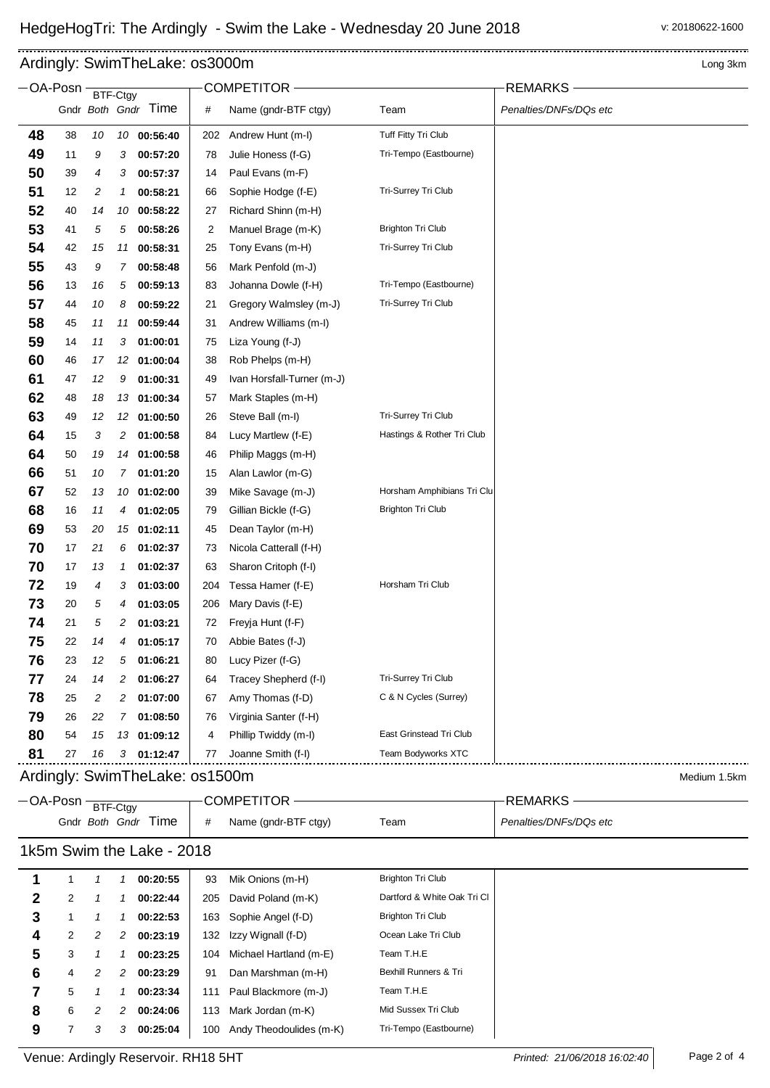## Ardingly: SwimTheLake: os3000m and a state of the state of the state of the state of the state of the state of the state of the state of the state of the state of the state of the state of the state of the state of the sta

|                                                | OA-Posn  | BTF-Ctgy |    |                     |                | COMPETITOR                 |                             | <b>REMARKS</b>         |  |
|------------------------------------------------|----------|----------|----|---------------------|----------------|----------------------------|-----------------------------|------------------------|--|
|                                                |          |          |    | Gndr Both Gndr Time | #              | Name (gndr-BTF ctgy)       | Team                        | Penalties/DNFs/DQs etc |  |
| 48                                             | 38       | 10       |    | 10 00:56:40         | 202            | Andrew Hunt (m-I)          | Tuff Fitty Tri Club         |                        |  |
| 49                                             | 11       | 9        | 3  | 00:57:20            | 78             | Julie Honess (f-G)         | Tri-Tempo (Eastbourne)      |                        |  |
| 50                                             | 39       | 4        | 3  | 00:57:37            | 14             | Paul Evans (m-F)           |                             |                        |  |
| 51                                             | 12       | 2        | 1  | 00:58:21            | 66             | Sophie Hodge (f-E)         | Tri-Surrey Tri Club         |                        |  |
| 52                                             | 40       | 14       | 10 | 00:58:22            | 27             | Richard Shinn (m-H)        |                             |                        |  |
| 53                                             | 41       | 5        | 5  | 00:58:26            | $\overline{2}$ | Manuel Brage (m-K)         | <b>Brighton Tri Club</b>    |                        |  |
| 54                                             | 42       | 15       |    | 11 00:58:31         | 25             | Tony Evans (m-H)           | Tri-Surrey Tri Club         |                        |  |
| 55                                             | 43       | 9        | 7  | 00:58:48            | 56             | Mark Penfold (m-J)         |                             |                        |  |
| 56                                             | 13       | 16       | 5  | 00:59:13            | 83             | Johanna Dowle (f-H)        | Tri-Tempo (Eastbourne)      |                        |  |
| 57                                             | 44       | 10       | 8  | 00:59:22            | 21             | Gregory Walmsley (m-J)     | Tri-Surrey Tri Club         |                        |  |
| 58                                             | 45       | 11       | 11 | 00:59:44            | 31             | Andrew Williams (m-I)      |                             |                        |  |
| 59                                             | 14       | 11       | 3  | 01:00:01            | 75             | Liza Young (f-J)           |                             |                        |  |
| 60                                             | 46       | 17       | 12 | 01:00:04            | 38             | Rob Phelps (m-H)           |                             |                        |  |
| 61                                             | 47       | 12       | 9  | 01:00:31            | 49             | Ivan Horsfall-Turner (m-J) |                             |                        |  |
| 62                                             | 48       | 18       | 13 | 01:00:34            | 57             | Mark Staples (m-H)         |                             |                        |  |
| 63                                             | 49       | 12       | 12 | 01:00:50            | 26             | Steve Ball (m-l)           | Tri-Surrey Tri Club         |                        |  |
| 64                                             | 15       | 3        | 2  | 01:00:58            | 84             | Lucy Martlew (f-E)         | Hastings & Rother Tri Club  |                        |  |
| 64                                             | 50       | 19       | 14 | 01:00:58            | 46             | Philip Maggs (m-H)         |                             |                        |  |
| 66                                             | 51       | 10       | 7  | 01:01:20            | 15             | Alan Lawlor (m-G)          |                             |                        |  |
| 67                                             | 52       | 13       | 10 | 01:02:00            | 39             | Mike Savage (m-J)          | Horsham Amphibians Tri Clu  |                        |  |
| 68                                             | 16       | 11       | 4  | 01:02:05            | 79             | Gillian Bickle (f-G)       | <b>Brighton Tri Club</b>    |                        |  |
| 69                                             | 53       | 20       | 15 | 01:02:11            | 45             | Dean Taylor (m-H)          |                             |                        |  |
| 70                                             | 17       | 21       | 6  | 01:02:37            | 73             | Nicola Catterall (f-H)     |                             |                        |  |
| 70                                             | 17       | 13       | 1  | 01:02:37            | 63             | Sharon Critoph (f-I)       |                             |                        |  |
| 72                                             | 19       | 4        | 3  | 01:03:00            | 204            | Tessa Hamer (f-E)          | Horsham Tri Club            |                        |  |
| 73                                             | 20       | 5        | 4  | 01:03:05            | 206            | Mary Davis (f-E)           |                             |                        |  |
| 74                                             | 21       | 5        | 2  | 01:03:21            | 72             | Freyja Hunt (f-F)          |                             |                        |  |
| 75                                             | 22       | 14       | 4  | 01:05:17            | 70             | Abbie Bates (f-J)          |                             |                        |  |
| 76                                             | 23       | 12       | 5  | 01:06:21            | 80             | Lucy Pizer (f-G)           |                             |                        |  |
| 77                                             | 24       | 14       | 2  | 01:06:27            | 64             | Tracey Shepherd (f-I)      | Tri-Surrey Tri Club         |                        |  |
| 78                                             | 25       | 2        | 2  | 01:07:00            | 67             | Amy Thomas (f-D)           | C & N Cycles (Surrey)       |                        |  |
| 79                                             | 26       | 22       | 7  | 01:08:50            | 76             | Virginia Santer (f-H)      |                             |                        |  |
| 80                                             | 54       | 15       |    | 13 01:09:12         | 4              | Phillip Twiddy (m-I)       | East Grinstead Tri Club     |                        |  |
| 81                                             | 27       | 16       |    | $3$ 01:12:47        | 77             | Joanne Smith (f-I)         | Team Bodyworks XTC          |                        |  |
| Ardingly: SwimTheLake: os1500m<br>Medium 1.5km |          |          |    |                     |                |                            |                             |                        |  |
|                                                | OA-Posn- | BTF-Ctgy |    |                     |                | COMPETITOR-                |                             | REMARKS-               |  |
|                                                |          |          |    | Gndr Both Gndr Time | #              | Name (gndr-BTF ctgy)       | Team                        | Penalties/DNFs/DQs etc |  |
| 1k5m Swim the Lake - 2018                      |          |          |    |                     |                |                            |                             |                        |  |
| 1                                              | 1        | 1        | 1  | 00:20:55            | 93             | Mik Onions (m-H)           | <b>Brighton Tri Club</b>    |                        |  |
| 2                                              | 2        | 1        | 1  | 00:22:44            | 205            | David Poland (m-K)         | Dartford & White Oak Tri Cl |                        |  |
| 3                                              | 1        | 1        | 1  | 00:22:53            | 163            | Sophie Angel (f-D)         | <b>Brighton Tri Club</b>    |                        |  |
| 4                                              | 2        | 2        | 2  | 00:23:19            | 132            | Izzy Wignall (f-D)         | Ocean Lake Tri Club         |                        |  |
| 5                                              | 3        | 1        | 1  | 00:23:25            | 104            | Michael Hartland (m-E)     | Team T.H.E                  |                        |  |
| 6                                              | 4        | 2        | 2  | 00:23:29            | 91             | Dan Marshman (m-H)         | Bexhill Runners & Tri       |                        |  |
| 7                                              | 5        | 1        | 1  | 00:23:34            | 111            | Paul Blackmore (m-J)       | Team T.H.E                  |                        |  |
| 8                                              | 6        | 2        | 2  | 00:24:06            | 113            | Mark Jordan (m-K)          | Mid Sussex Tri Club         |                        |  |
| 9                                              | 7        | 3        | 3  | 00:25:04            | 100            | Andy Theodoulides (m-K)    | Tri-Tempo (Eastbourne)      |                        |  |

Venue: Ardingly Reservoir. RH18 5HT *Printed: 21/06/2018 16:02:40* Page 2 of 4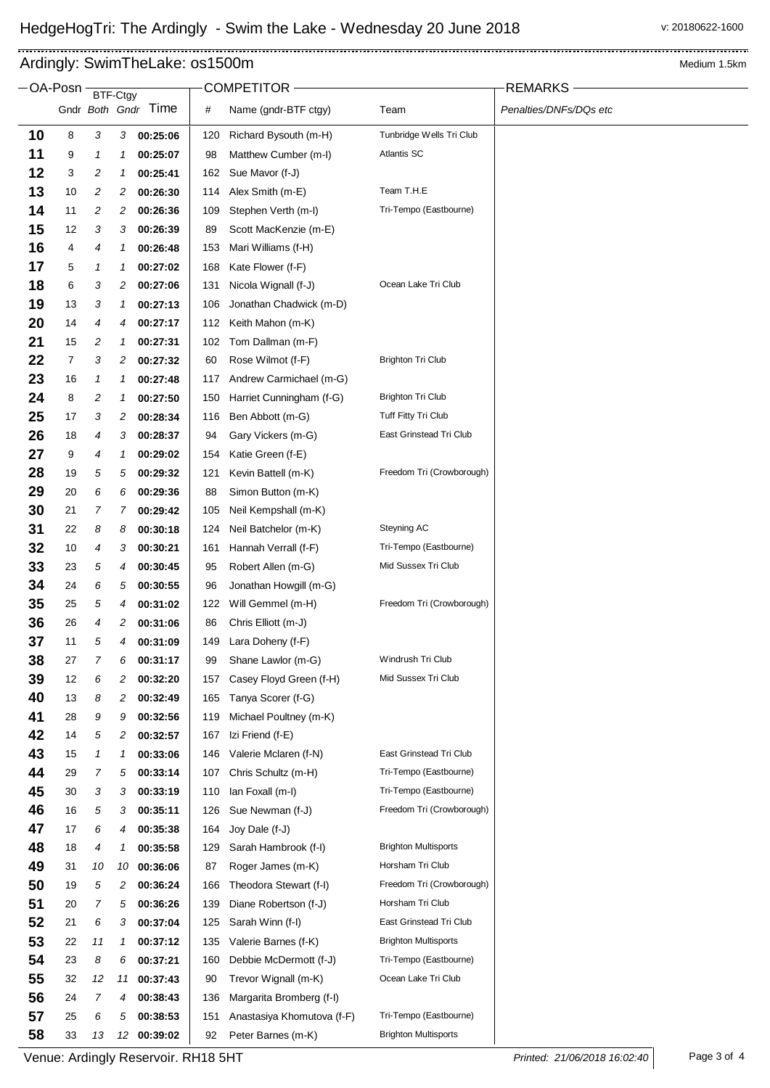OA-Posn <del>BTF-Ctgy COMPETITOR COMPETITOR</del> REMARKS

## Ardingly: SwimTheLake: 0s1500m and the contract of the contract of the contract of the contract of the Medium 1.5km

 $\blacksquare$ 

|    |    |                | DT-UY | Gndr Both Gndr Time | #   | Name (gndr-BTF ctgy)       | Team                        | Penalties/DNFs/DQs etc |
|----|----|----------------|-------|---------------------|-----|----------------------------|-----------------------------|------------------------|
| 10 | 8  | 3              | 3     | 00:25:06            | 120 | Richard Bysouth (m-H)      | Tunbridge Wells Tri Club    |                        |
| 11 | 9  | 1              | 1     | 00:25:07            | 98  | Matthew Cumber (m-I)       | <b>Atlantis SC</b>          |                        |
| 12 | 3  | 2              | 1     | 00:25:41            | 162 | Sue Mavor (f-J)            |                             |                        |
| 13 | 10 | 2              | 2     | 00:26:30            | 114 | Alex Smith (m-E)           | Team T.H.E                  |                        |
| 14 | 11 | 2              | 2     | 00:26:36            | 109 | Stephen Verth (m-I)        | Tri-Tempo (Eastbourne)      |                        |
| 15 | 12 | 3              | 3     | 00:26:39            | 89  | Scott MacKenzie (m-E)      |                             |                        |
| 16 | 4  | 4              | 1     | 00:26:48            | 153 | Mari Williams (f-H)        |                             |                        |
| 17 | 5  | 1              | 1     | 00:27:02            | 168 | Kate Flower (f-F)          |                             |                        |
| 18 | 6  | 3              | 2     | 00:27:06            | 131 | Nicola Wignall (f-J)       | Ocean Lake Tri Club         |                        |
| 19 | 13 | 3              | 1     | 00:27:13            | 106 | Jonathan Chadwick (m-D)    |                             |                        |
| 20 | 14 | 4              | 4     | 00:27:17            | 112 | Keith Mahon (m-K)          |                             |                        |
| 21 | 15 | 2              | 1     | 00:27:31            | 102 | Tom Dallman (m-F)          |                             |                        |
| 22 | 7  | 3              | 2     | 00:27:32            | 60  | Rose Wilmot (f-F)          | <b>Brighton Tri Club</b>    |                        |
| 23 | 16 | 1              | 1     | 00:27:48            | 117 | Andrew Carmichael (m-G)    |                             |                        |
| 24 | 8  | 2              | 1     | 00:27:50            | 150 | Harriet Cunningham (f-G)   | <b>Brighton Tri Club</b>    |                        |
| 25 | 17 | 3              | 2     | 00:28:34            | 116 | Ben Abbott (m-G)           | Tuff Fitty Tri Club         |                        |
| 26 | 18 | 4              | 3     | 00:28:37            | 94  | Gary Vickers (m-G)         | East Grinstead Tri Club     |                        |
| 27 | 9  | 4              | 1     | 00:29:02            | 154 | Katie Green (f-E)          |                             |                        |
| 28 | 19 | 5              | 5     | 00:29:32            | 121 | Kevin Battell (m-K)        | Freedom Tri (Crowborough)   |                        |
| 29 | 20 | 6              | 6     | 00:29:36            | 88  | Simon Button (m-K)         |                             |                        |
| 30 | 21 | 7              | 7     | 00:29:42            | 105 | Neil Kempshall (m-K)       |                             |                        |
| 31 | 22 | 8              | 8     | 00:30:18            | 124 | Neil Batchelor (m-K)       | Steyning AC                 |                        |
| 32 | 10 | 4              | 3     | 00:30:21            | 161 | Hannah Verrall (f-F)       | Tri-Tempo (Eastbourne)      |                        |
| 33 | 23 | 5              | 4     | 00:30:45            | 95  | Robert Allen (m-G)         | Mid Sussex Tri Club         |                        |
| 34 | 24 | 6              | 5     | 00:30:55            | 96  | Jonathan Howgill (m-G)     |                             |                        |
| 35 | 25 | 5              | 4     | 00:31:02            | 122 | Will Gemmel (m-H)          | Freedom Tri (Crowborough)   |                        |
| 36 | 26 | 4              | 2     | 00:31:06            | 86  | Chris Elliott (m-J)        |                             |                        |
| 37 | 11 | 5              | 4     | 00:31:09            | 149 | Lara Doheny (f-F)          |                             |                        |
| 38 | 27 | 7              | 6     | 00:31:17            | 99  | Shane Lawlor (m-G)         | Windrush Tri Club           |                        |
| 39 | 12 | 6              | 2     | 00:32:20            | 157 | Casey Floyd Green (f-H)    | Mid Sussex Tri Club         |                        |
| 40 | 13 | 8              | 2     | 00:32:49            | 165 | Tanya Scorer (f-G)         |                             |                        |
| 41 | 28 | 9              | 9     | 00:32:56            | 119 | Michael Poultney (m-K)     |                             |                        |
| 42 | 14 | 5              | 2     | 00:32:57            | 167 | Izi Friend (f-E)           |                             |                        |
| 43 | 15 | 1              | 1     | 00:33:06            | 146 | Valerie Mclaren (f-N)      | East Grinstead Tri Club     |                        |
| 44 | 29 | $\overline{7}$ | 5     | 00:33:14            | 107 | Chris Schultz (m-H)        | Tri-Tempo (Eastbourne)      |                        |
| 45 | 30 | 3              | 3     | 00:33:19            | 110 | lan Foxall (m-l)           | Tri-Tempo (Eastbourne)      |                        |
| 46 | 16 | 5              | 3     | 00:35:11            | 126 | Sue Newman (f-J)           | Freedom Tri (Crowborough)   |                        |
| 47 | 17 | 6              | 4     | 00:35:38            | 164 | Joy Dale (f-J)             |                             |                        |
| 48 | 18 | 4              | 1     | 00:35:58            | 129 | Sarah Hambrook (f-I)       | <b>Brighton Multisports</b> |                        |
| 49 | 31 | 10             | 10    | 00:36:06            | 87  | Roger James (m-K)          | Horsham Tri Club            |                        |
| 50 | 19 | 5              | 2     | 00:36:24            | 166 | Theodora Stewart (f-I)     | Freedom Tri (Crowborough)   |                        |
| 51 | 20 | 7              | 5     | 00:36:26            | 139 | Diane Robertson (f-J)      | Horsham Tri Club            |                        |
| 52 | 21 | 6              | 3     | 00:37:04            | 125 | Sarah Winn (f-I)           | East Grinstead Tri Club     |                        |
| 53 | 22 | 11             | 1     | 00:37:12            | 135 | Valerie Barnes (f-K)       | <b>Brighton Multisports</b> |                        |
| 54 | 23 | 8              | 6     | 00:37:21            | 160 | Debbie McDermott (f-J)     | Tri-Tempo (Eastbourne)      |                        |
| 55 | 32 | 12             | 11    | 00:37:43            | 90  | Trevor Wignall (m-K)       | Ocean Lake Tri Club         |                        |
| 56 | 24 | $\overline{7}$ | 4     | 00:38:43            | 136 | Margarita Bromberg (f-I)   |                             |                        |
| 57 | 25 | 6              | 5     | 00:38:53            | 151 | Anastasiya Khomutova (f-F) | Tri-Tempo (Eastbourne)      |                        |
| 58 | 33 | 13             | 12    | 00:39:02            | 92  | Peter Barnes (m-K)         | <b>Brighton Multisports</b> |                        |